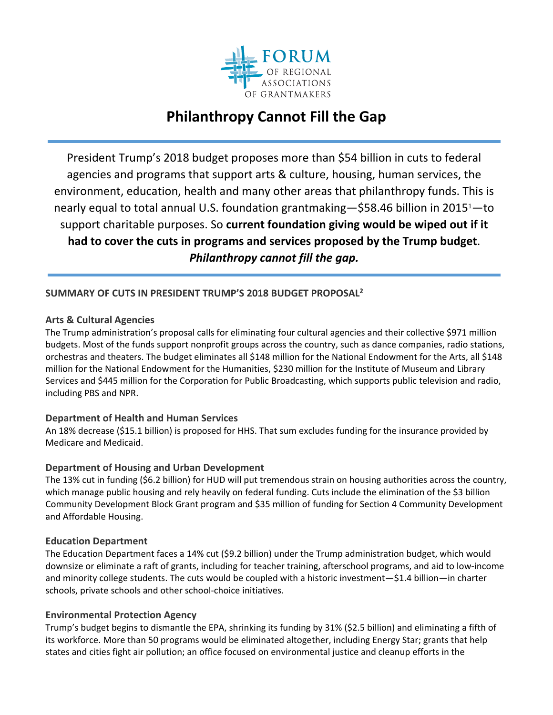

# **Philanthropy Cannot Fill the Gap**

President Trump's 2018 budget proposes more than \$54 billion in cuts to federal agencies and programs that support arts & culture, housing, human services, the environment, education, health and many other areas that philanthropy funds. This is nearly equal to total annual U.S. foundation grantmaking—\$58.46 billion in 20151—to support charitable purposes. So **current foundation giving would be wiped out if it had to cover the cuts in programs and services proposed by the Trump budget**. *Philanthropy cannot fill the gap.* 

# **SUMMARY OF CUTS IN PRESIDENT TRUMP'S 2018 BUDGET PROPOSAL2**

### **Arts & Cultural Agencies**

The Trump administration's proposal calls for eliminating four cultural agencies and their collective \$971 million budgets. Most of the funds support nonprofit groups across the country, such as dance companies, radio stations, orchestras and theaters. The budget eliminates all \$148 million for the National Endowment for the Arts, all \$148 million for the National Endowment for the Humanities, \$230 million for the Institute of Museum and Library Services and \$445 million for the Corporation for Public Broadcasting, which supports public television and radio, including PBS and NPR.

### **Department of Health and Human Services**

An 18% decrease (\$15.1 billion) is proposed for HHS. That sum excludes funding for the insurance provided by Medicare and Medicaid.

### **Department of Housing and Urban Development**

The 13% cut in funding (\$6.2 billion) for HUD will put tremendous strain on housing authorities across the country, which manage public housing and rely heavily on federal funding. Cuts include the elimination of the \$3 billion Community Development Block Grant program and \$35 million of funding for Section 4 Community Development and Affordable Housing.

#### **Education Department**

The Education Department faces a 14% cut (\$9.2 billion) under the Trump administration budget, which would downsize or eliminate a raft of grants, including for teacher training, afterschool programs, and aid to low‐income and minority college students. The cuts would be coupled with a historic investment—\$1.4 billion—in charter schools, private schools and other school‐choice initiatives.

#### **Environmental Protection Agency**

Trump's budget begins to dismantle the EPA, shrinking its funding by 31% (\$2.5 billion) and eliminating a fifth of its workforce. More than 50 programs would be eliminated altogether, including Energy Star; grants that help states and cities fight air pollution; an office focused on environmental justice and cleanup efforts in the